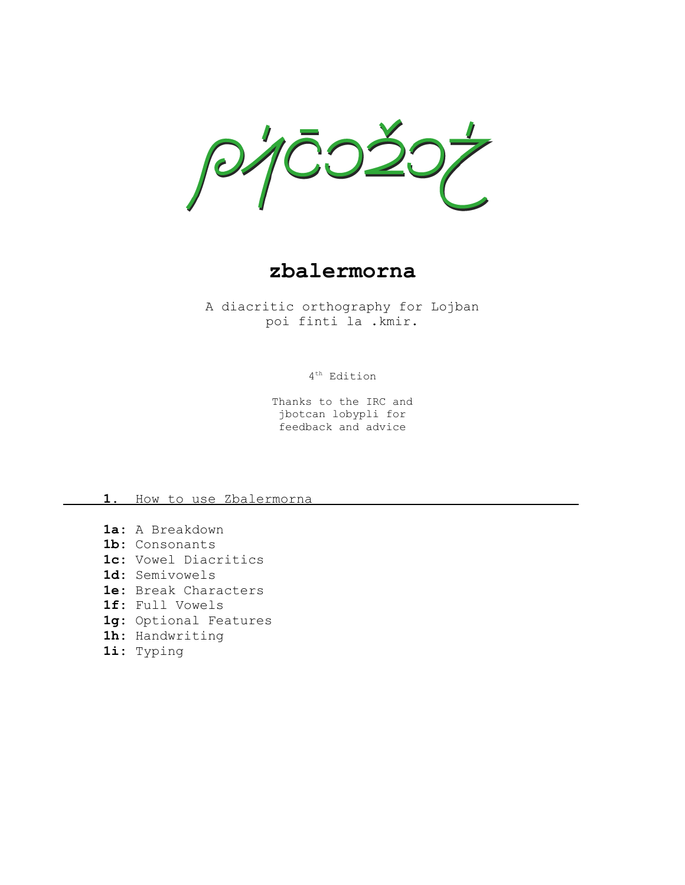$\mathcal{P}'$ 

**zbalermorna**

A diacritic orthography for Lojban poi finti la .kmir.

4 th Edition

Thanks to the IRC and jbotcan lobypli for feedback and advice

### 1. How to use Zbalermorna

**1a:** A Breakdown **1b:** Consonants **1c:** Vowel Diacritics **1d:** Semivowels **1e:** Break Characters **1f:** Full Vowels **1g:** Optional Features **1h:** Handwriting **1i:** Typing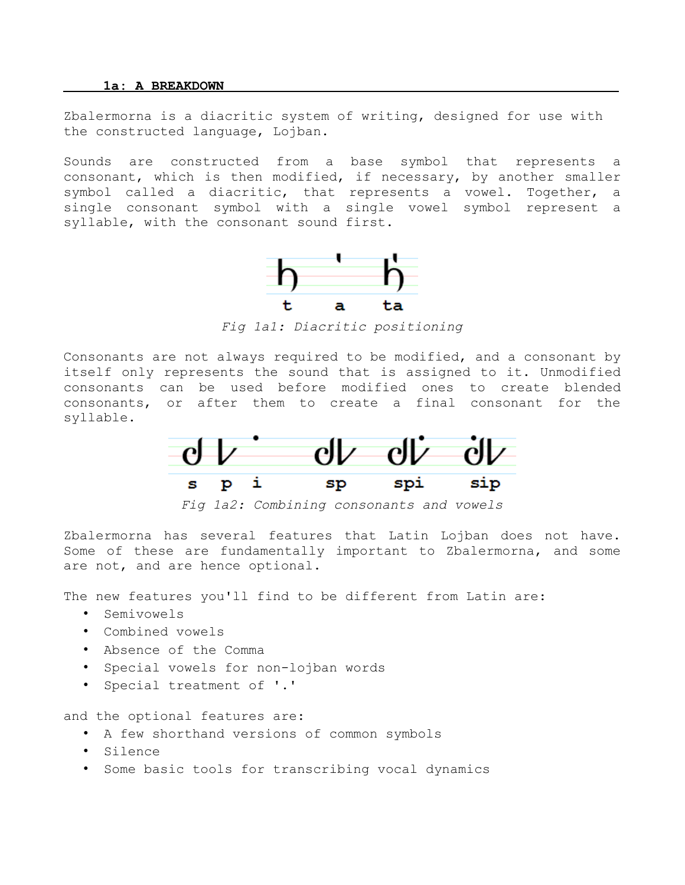#### **1a: A BREAKDOWN**

Zbalermorna is a diacritic system of writing, designed for use with the constructed language, Lojban.

Sounds are constructed from a base symbol that represents a consonant, which is then modified, if necessary, by another smaller symbol called a diacritic, that represents a vowel. Together, a single consonant symbol with a single vowel symbol represent a syllable, with the consonant sound first.



*Fig 1a1: Diacritic positioning*

Consonants are not always required to be modified, and a consonant by itself only represents the sound that is assigned to it. Unmodified consonants can be used before modified ones to create blended consonants, or after them to create a final consonant for the syllable.



*Fig 1a2: Combining consonants and vowels*

Zbalermorna has several features that Latin Lojban does not have. Some of these are fundamentally important to Zbalermorna, and some are not, and are hence optional.

The new features you'll find to be different from Latin are:

- Semivowels
- Combined vowels
- Absence of the Comma
- Special vowels for non-lojban words
- Special treatment of '.'

and the optional features are:

- A few shorthand versions of common symbols
- Silence
- Some basic tools for transcribing vocal dynamics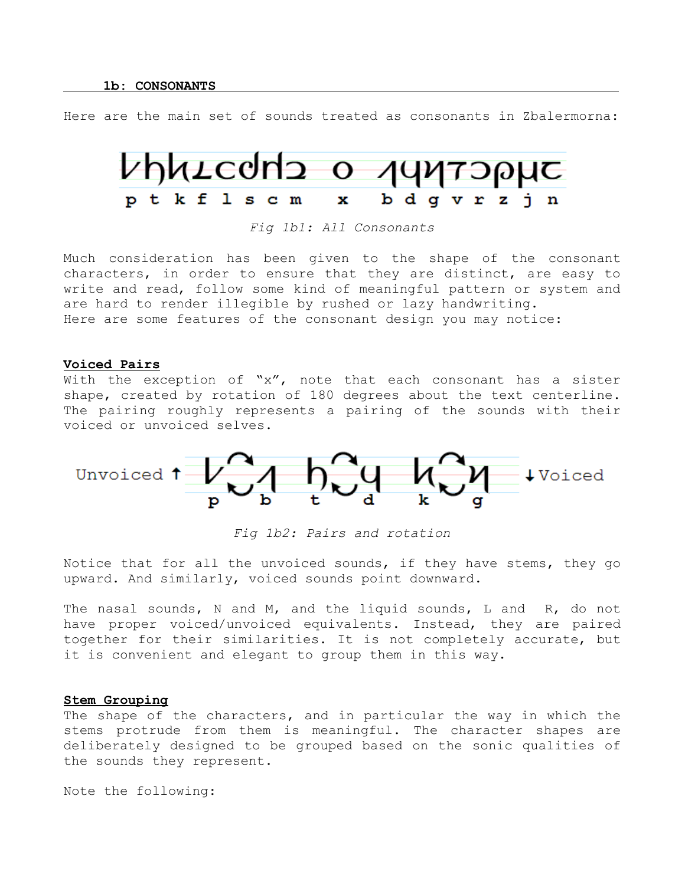Here are the main set of sounds treated as consonants in Zbalermorna:



*Fig 1b1: All Consonants*

Much consideration has been given to the shape of the consonant characters, in order to ensure that they are distinct, are easy to write and read, follow some kind of meaningful pattern or system and are hard to render illegible by rushed or lazy handwriting. Here are some features of the consonant design you may notice:

### **Voiced Pairs**

With the exception of " $x''$ , note that each consonant has a sister shape, created by rotation of 180 degrees about the text centerline. The pairing roughly represents a pairing of the sounds with their voiced or unvoiced selves.



*Fig 1b2: Pairs and rotation*

Notice that for all the unvoiced sounds, if they have stems, they go upward. And similarly, voiced sounds point downward.

The nasal sounds, N and M, and the liquid sounds, L and R, do not have proper voiced/unvoiced equivalents. Instead, they are paired together for their similarities. It is not completely accurate, but it is convenient and elegant to group them in this way.

# **Stem Grouping**

The shape of the characters, and in particular the way in which the stems protrude from them is meaningful. The character shapes are deliberately designed to be grouped based on the sonic qualities of the sounds they represent.

Note the following: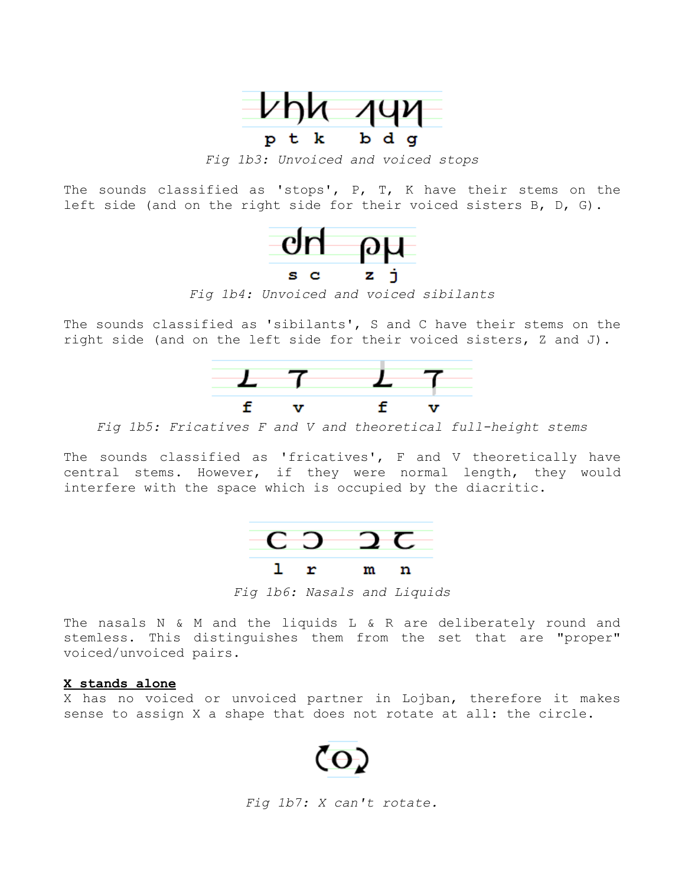

*Fig 1b3: Unvoiced and voiced stops*

The sounds classified as 'stops', P, T, K have their stems on the left side (and on the right side for their voiced sisters B, D, G).



*Fig 1b4: Unvoiced and voiced sibilants*

The sounds classified as 'sibilants', S and C have their stems on the right side (and on the left side for their voiced sisters, Z and J).



*Fig 1b5: Fricatives F and V and theoretical full-height stems*

The sounds classified as 'fricatives', F and V theoretically have central stems. However, if they were normal length, they would interfere with the space which is occupied by the diacritic.



*Fig 1b6: Nasals and Liquids*

The nasals N & M and the liquids L & R are deliberately round and stemless. This distinguishes them from the set that are "proper" voiced/unvoiced pairs.

## **X stands alone**

X has no voiced or unvoiced partner in Lojban, therefore it makes sense to assign X a shape that does not rotate at all: the circle.



*Fig 1b7: X can't rotate.*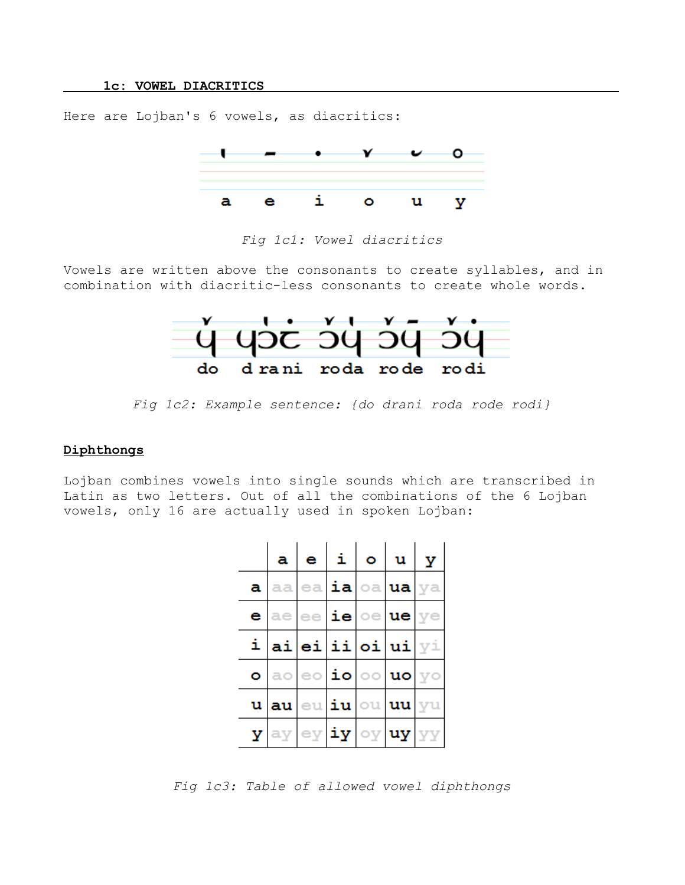Here are Lojban's 6 vowels, as diacritics:



*Fig 1c1: Vowel diacritics*

Vowels are written above the consonants to create syllables, and in combination with diacritic-less consonants to create whole words.



*Fig 1c2: Example sentence: {do drani roda rode rodi}*

# **Diphthongs**

Lojban combines vowels into single sounds which are transcribed in Latin as two letters. Out of all the combinations of the 6 Lojban vowels, only 16 are actually used in spoken Lojban:

|   | a     | e  | i  | ۰              | u  | У |
|---|-------|----|----|----------------|----|---|
| a | aa    | ea | ia | oa.            | ua |   |
| е | ae.   | ee | ie | $oe$ ue        |    |   |
| i |       |    |    | ai ei ii oi ui |    |   |
| ۰ |       | eo | io | $\circ$        | uo |   |
|   | u  au | eu | iu | ou.            | uu |   |
| У |       | ey | iу | oy             | uy |   |

*Fig 1c3: Table of allowed vowel diphthongs*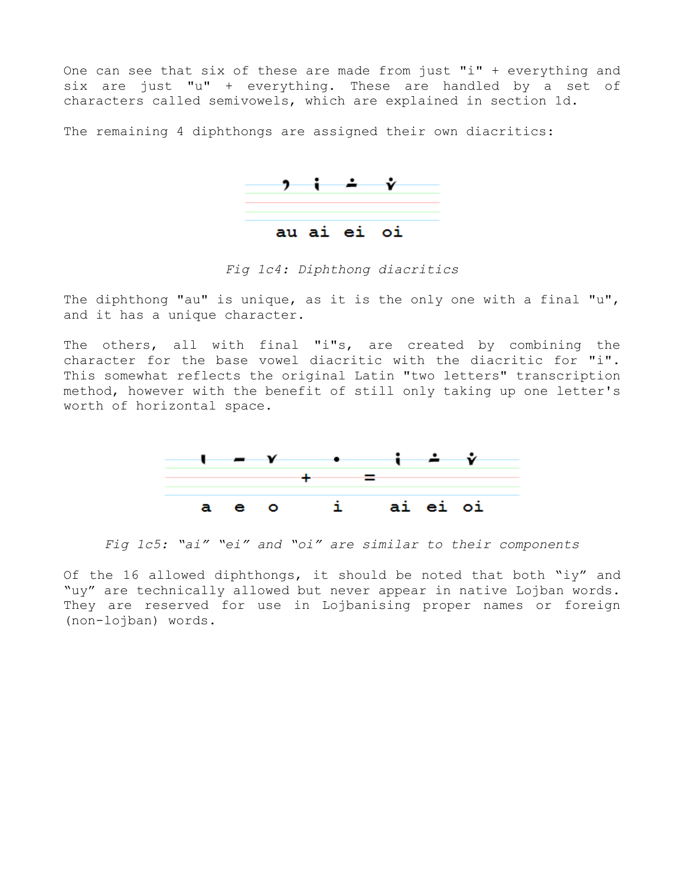One can see that six of these are made from just "i" + everything and six are just "u" + everything. These are handled by a set of characters called semivowels, which are explained in section 1d.

The remaining 4 diphthongs are assigned their own diacritics:



*Fig 1c4: Diphthong diacritics*

The diphthong "au" is unique, as it is the only one with a final "u", and it has a unique character.

The others, all with final "i"s, are created by combining the character for the base vowel diacritic with the diacritic for "i". This somewhat reflects the original Latin "two letters" transcription method, however with the benefit of still only taking up one letter's worth of horizontal space.



*Fig 1c5: "ai" "ei" and "oi" are similar to their components*

Of the 16 allowed diphthongs, it should be noted that both "iy" and "uy" are technically allowed but never appear in native Lojban words. They are reserved for use in Lojbanising proper names or foreign (non-lojban) words.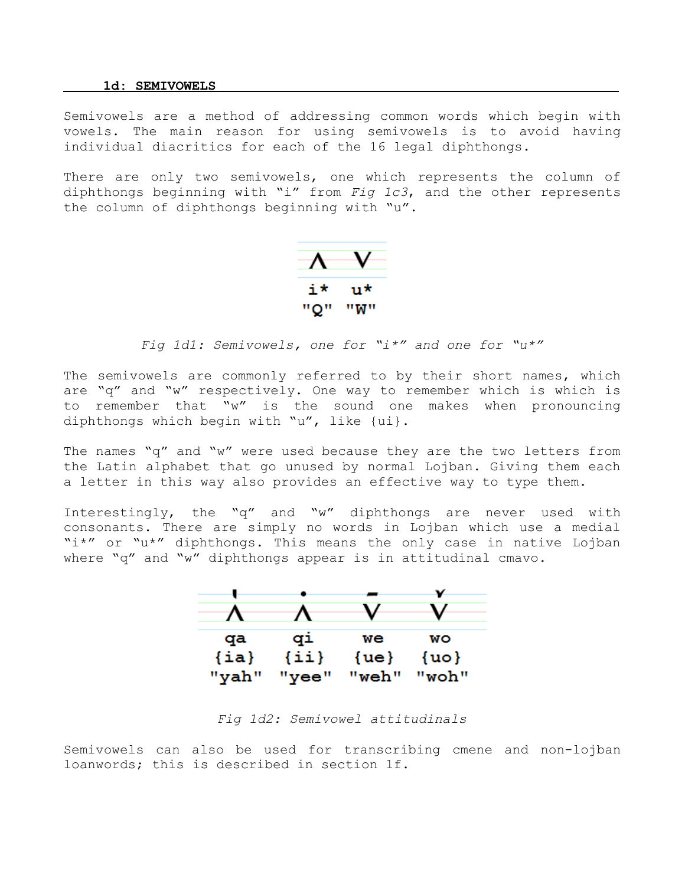#### **1d: SEMIVOWELS**

Semivowels are a method of addressing common words which begin with vowels. The main reason for using semivowels is to avoid having individual diacritics for each of the 16 legal diphthongs.

There are only two semivowels, one which represents the column of diphthongs beginning with "i" from *Fig 1c3*, and the other represents the column of diphthongs beginning with "u".



# *Fig 1d1: Semivowels, one for "i\*" and one for "u\*"*

The semivowels are commonly referred to by their short names, which are "q" and "w" respectively. One way to remember which is which is to remember that "w" is the sound one makes when pronouncing diphthongs which begin with "u", like {ui}.

The names "q" and "w" were used because they are the two letters from the Latin alphabet that go unused by normal Lojban. Giving them each a letter in this way also provides an effective way to type them.

Interestingly, the "q" and "w" diphthongs are never used with consonants. There are simply no words in Lojban which use a medial "i\*" or "u\*" diphthongs. This means the only case in native Lojban where "q" and "w" diphthongs appear is in attitudinal cmavo.



*Fig 1d2: Semivowel attitudinals*

Semivowels can also be used for transcribing cmene and non-lojban loanwords; this is described in section 1f.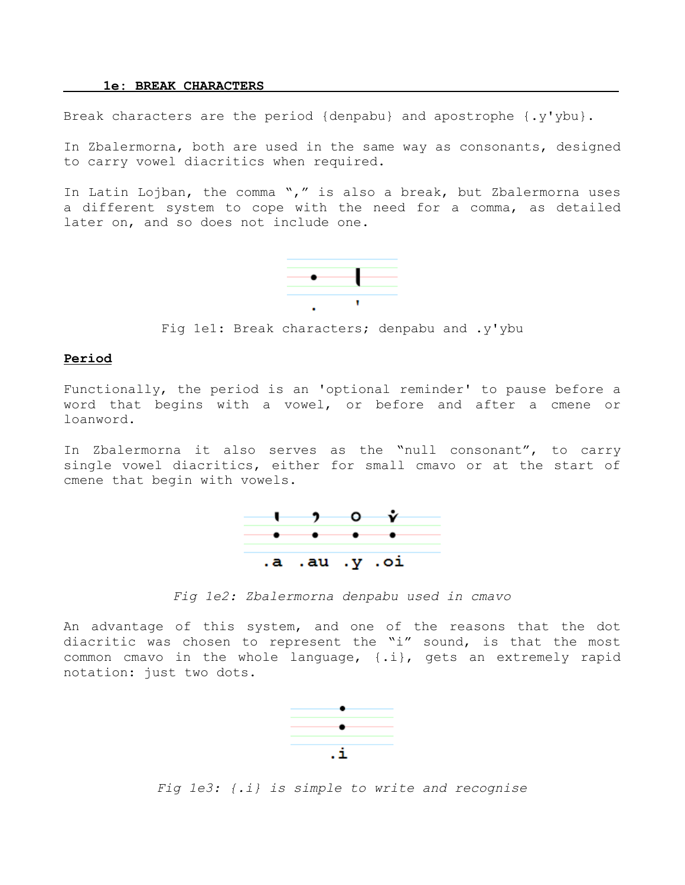#### **1e: BREAK CHARACTERS**

Break characters are the period {denpabu} and apostrophe {.y'ybu}.

In Zbalermorna, both are used in the same way as consonants, designed to carry vowel diacritics when required.

In Latin Lojban, the comma "," is also a break, but Zbalermorna uses a different system to cope with the need for a comma, as detailed later on, and so does not include one.



Fig 1e1: Break characters; denpabu and .y'ybu

### **Period**

Functionally, the period is an 'optional reminder' to pause before a word that begins with a vowel, or before and after a cmene or loanword.

In Zbalermorna it also serves as the "null consonant", to carry single vowel diacritics, either for small cmavo or at the start of cmene that begin with vowels.



*Fig 1e2: Zbalermorna denpabu used in cmavo*

An advantage of this system, and one of the reasons that the dot diacritic was chosen to represent the "i" sound, is that the most common cmavo in the whole language, {.i}, gets an extremely rapid notation: just two dots.



*Fig 1e3: {.i} is simple to write and recognise*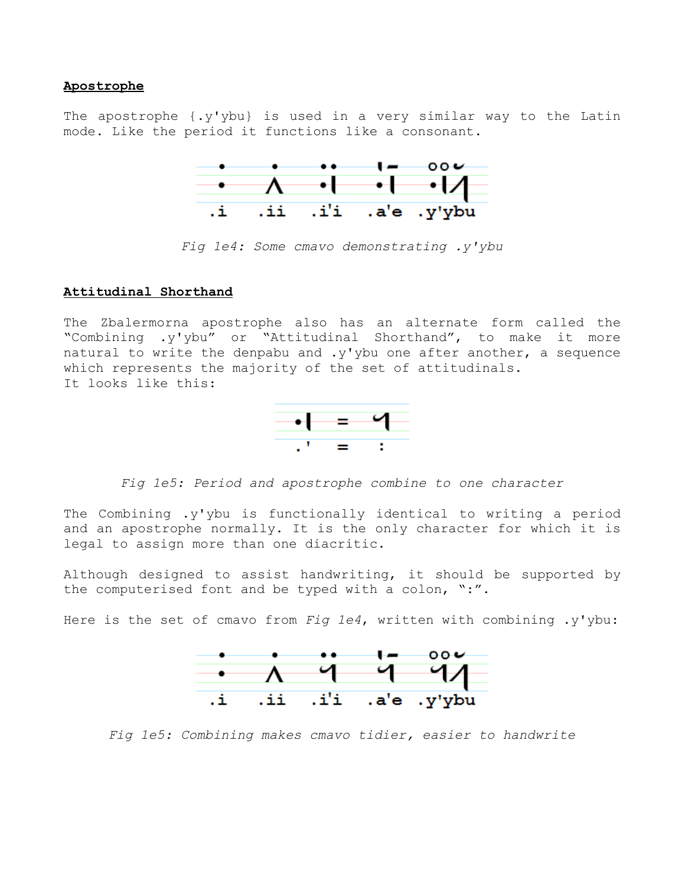# **Apostrophe**

The apostrophe {.y'ybu} is used in a very similar way to the Latin mode. Like the period it functions like a consonant.



*Fig 1e4: Some cmavo demonstrating .y'ybu*

# **Attitudinal Shorthand**

The Zbalermorna apostrophe also has an alternate form called the "Combining .y'ybu" or "Attitudinal Shorthand", to make it more natural to write the denpabu and .y'ybu one after another, a sequence which represents the majority of the set of attitudinals. It looks like this:



*Fig 1e5: Period and apostrophe combine to one character*

The Combining .y'ybu is functionally identical to writing a period and an apostrophe normally. It is the only character for which it is legal to assign more than one diacritic.

Although designed to assist handwriting, it should be supported by the computerised font and be typed with a colon, ":".

Here is the set of cmavo from *Fig 1e4*, written with combining .y'ybu:



*Fig 1e5: Combining makes cmavo tidier, easier to handwrite*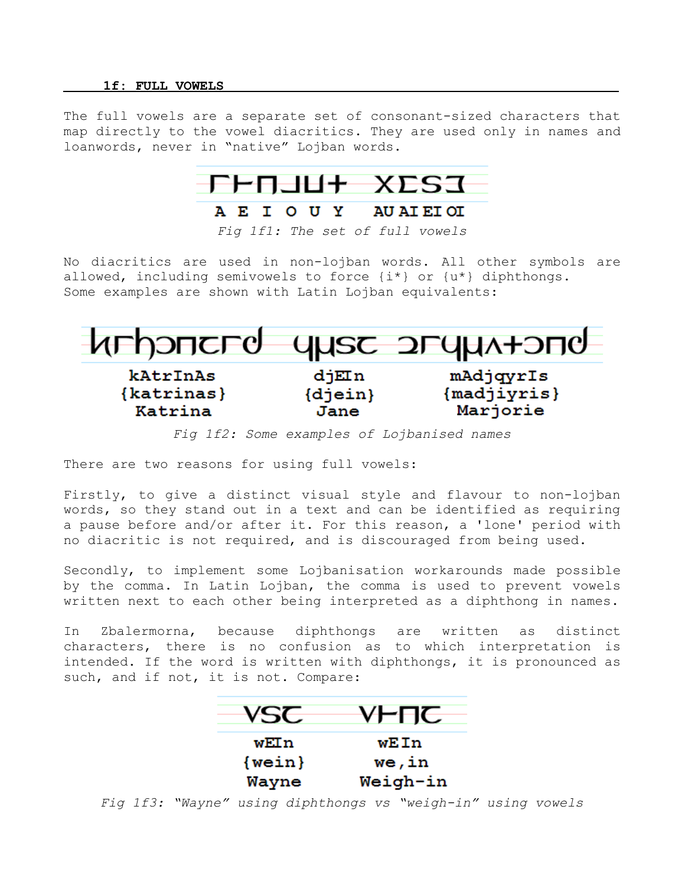#### **1f: FULL VOWELS**

The full vowels are a separate set of consonant-sized characters that map directly to the vowel diacritics. They are used only in names and loanwords, never in "native" Lojban words.



# A E I O U Y AU AI EI OI

No diacritics are used in non-lojban words. All other symbols are allowed, including semivowels to force  $\{i^*\}$  or  $\{u^*\}$  diphthongs. Some examples are shown with Latin Lojban equivalents:



*Fig 1f2: Some examples of Lojbanised names*

There are two reasons for using full vowels:

Firstly, to give a distinct visual style and flavour to non-lojban words, so they stand out in a text and can be identified as requiring a pause before and/or after it. For this reason, a 'lone' period with no diacritic is not required, and is discouraged from being used.

Secondly, to implement some Lojbanisation workarounds made possible by the comma. In Latin Lojban, the comma is used to prevent vowels written next to each other being interpreted as a diphthong in names.

In Zbalermorna, because diphthongs are written as distinct characters, there is no confusion as to which interpretation is intended. If the word is written with diphthongs, it is pronounced as such, and if not, it is not. Compare:

| VSC.     | <b>YHTIC</b>    |
|----------|-----------------|
| wEIn     | wEIn            |
| ${well}$ | we,in           |
| Wayne    | <b>Weigh-in</b> |

*Fig 1f3: "Wayne" using diphthongs vs "weigh-in" using vowels*

*Fig 1f1: The set of full vowels*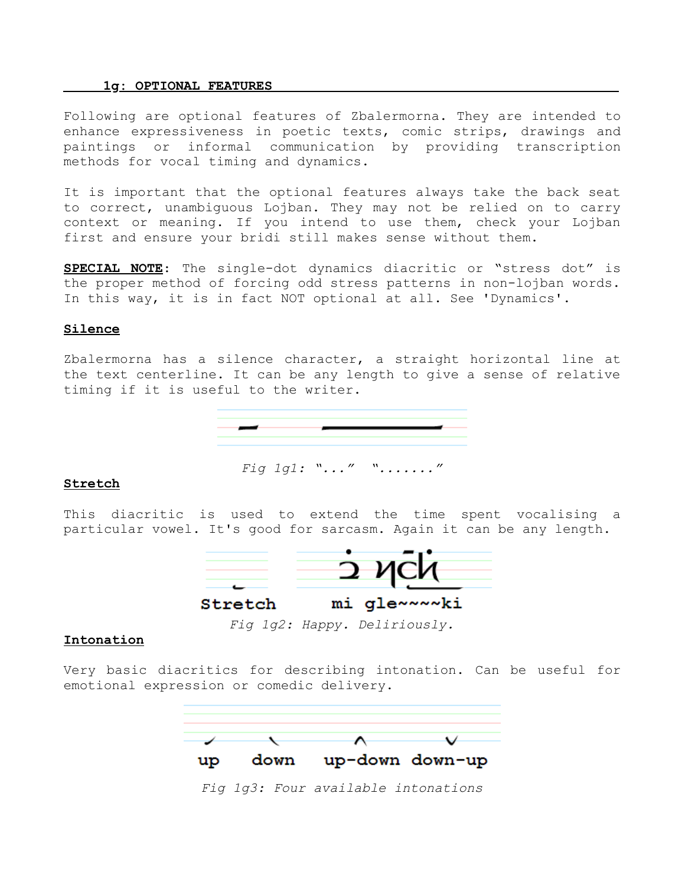#### **1g : OPTIONAL FEATURES**

Following are optional features of Zbalermorna. They are intended to enhance expressiveness in poetic texts, comic strips, drawings and paintings or informal communication by providing transcription methods for vocal timing and dynamics.

It is important that the optional features always take the back seat to correct, unambiguous Lojban. They may not be relied on to carry context or meaning. If you intend to use them, check your Lojban first and ensure your bridi still makes sense without them.

**SPECIAL NOTE**: The single-dot dynamics diacritic or "stress dot" is the proper method of forcing odd stress patterns in non-lojban words. In this way, it is in fact NOT optional at all. See 'Dynamics'.

### **Silence**

Zbalermorna has a silence character, a straight horizontal line at the text centerline. It can be any length to give a sense of relative timing if it is useful to the writer.



*Fig 1g1: "..." "......."*

#### **Stretch**

This diacritic is used to extend the time spent vocalising a particular vowel. It's good for sarcasm. Again it can be any length.



*Fig 1g2: Happy. Deliriously.*

# **Intonation**

Very basic diacritics for describing intonation. Can be useful for emotional expression or comedic delivery.



*Fig 1g3: Four available intonations*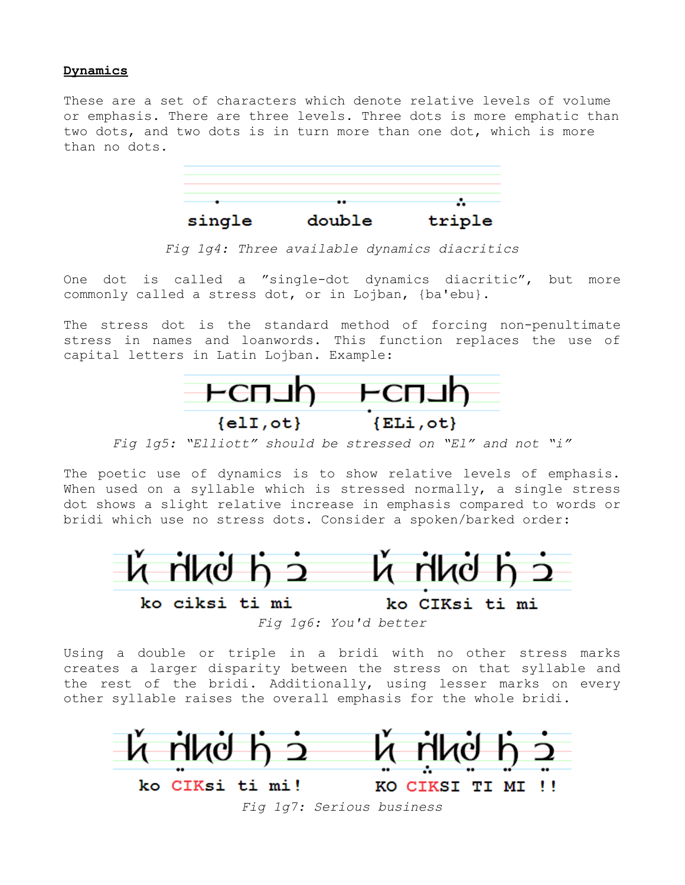# **Dynamics**

These are a set of characters which denote relative levels of volume or emphasis. There are three levels. Three dots is more emphatic than two dots, and two dots is in turn more than one dot, which is more than no dots.



*Fig 1g4: Three available dynamics diacritics*

One dot is called a "single-dot dynamics diacritic", but more commonly called a stress dot, or in Lojban, {ba'ebu}.

The stress dot is the standard method of forcing non-penultimate stress in names and loanwords. This function replaces the use of capital letters in Latin Lojban. Example:



*Fig 1g5: "Elliott" should be stressed on "El" and not "i"*

The poetic use of dynamics is to show relative levels of emphasis. When used on a syllable which is stressed normally, a single stress dot shows a slight relative increase in emphasis compared to words or bridi which use no stress dots. Consider a spoken/barked order:



*Fig 1g6: You'd better*

Using a double or triple in a bridi with no other stress marks creates a larger disparity between the stress on that syllable and the rest of the bridi. Additionally, using lesser marks on every other syllable raises the overall emphasis for the whole bridi.



*Fig 1g7: Serious business*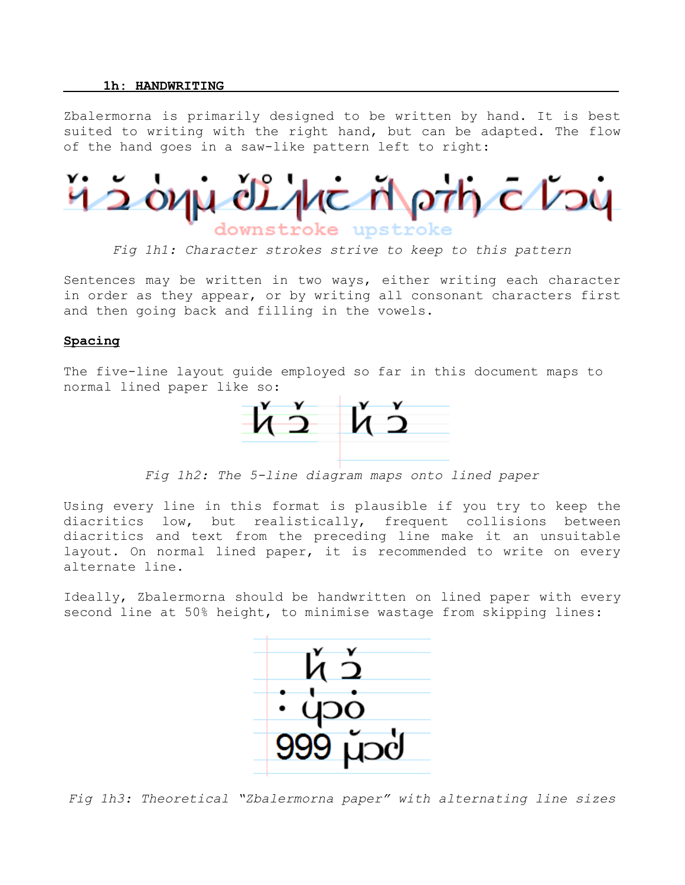### **1h: HANDWRITING**

Zbalermorna is primarily designed to be written by hand. It is best suited to writing with the right hand, but can be adapted. The flow of the hand goes in a saw-like pattern left to right:

42 oyju 02 ylic Mprh c V24 downstroke upstroke

*Fig 1h1: Character strokes strive to keep to this pattern*

Sentences may be written in two ways, either writing each character in order as they appear, or by writing all consonant characters first and then going back and filling in the vowels.

### **Spacing**

The five-line layout guide employed so far in this document maps to normal lined paper like so:



*Fig 1h2: The 5-line diagram maps onto lined paper*

Using every line in this format is plausible if you try to keep the diacritics low, but realistically, frequent collisions between diacritics and text from the preceding line make it an unsuitable layout. On normal lined paper, it is recommended to write on every alternate line.

Ideally, Zbalermorna should be handwritten on lined paper with every second line at 50% height, to minimise wastage from skipping lines:



*Fig 1h3: Theoretical "Zbalermorna paper" with alternating line sizes*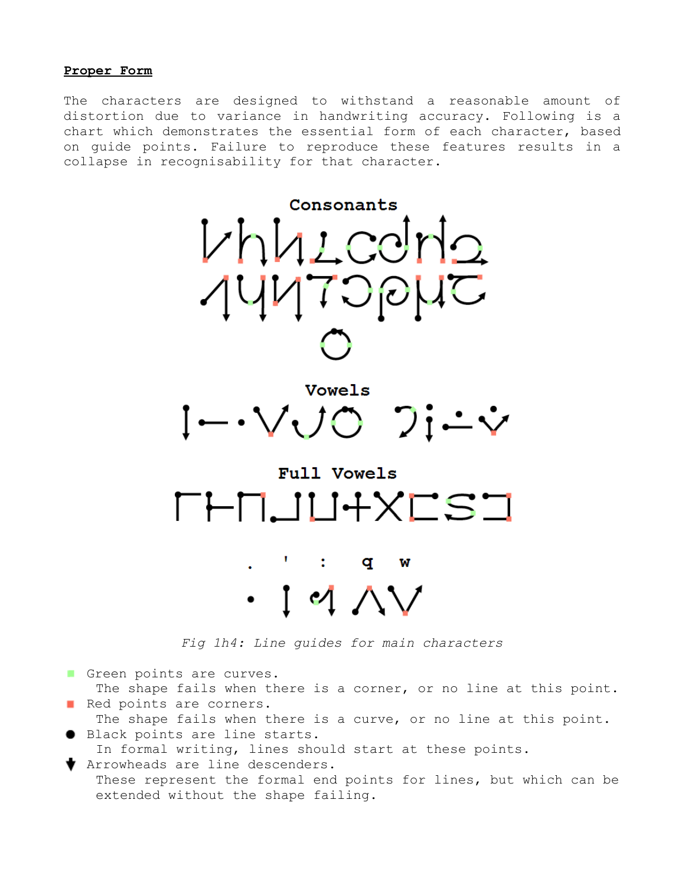### **Proper Form**

The characters are designed to withstand a reasonable amount of distortion due to variance in handwriting accuracy. Following is a chart which demonstrates the essential form of each character, based on guide points. Failure to reproduce these features results in a collapse in recognisability for that character.



*Fig 1h4: Line guides for main characters*

Green points are curves.

The shape fails when there is a corner, or no line at this point. Red points are corners.

The shape fails when there is a curve, or no line at this point. ● Black points are line starts.

In formal writing, lines should start at these points.

Arrowheads are line descenders.

 These represent the formal end points for lines, but which can be extended without the shape failing.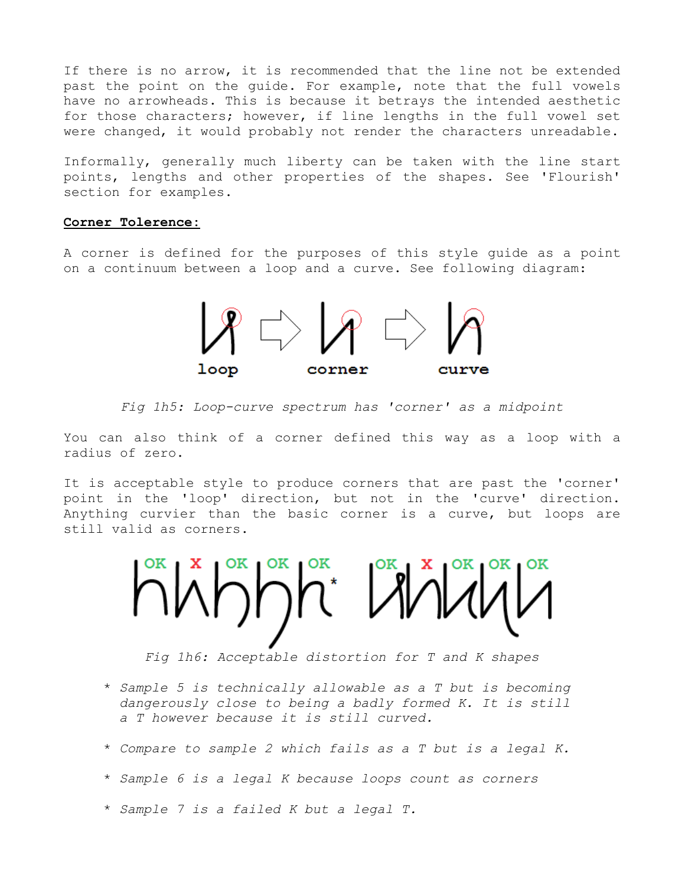If there is no arrow, it is recommended that the line not be extended past the point on the guide. For example, note that the full vowels have no arrowheads. This is because it betrays the intended aesthetic for those characters; however, if line lengths in the full vowel set were changed, it would probably not render the characters unreadable.

Informally, generally much liberty can be taken with the line start points, lengths and other properties of the shapes. See 'Flourish' section for examples.

# **Corner Tolerence:**

A corner is defined for the purposes of this style guide as a point on a continuum between a loop and a curve. See following diagram:



*Fig 1h5: Loop-curve spectrum has 'corner' as a midpoint*

You can also think of a corner defined this way as a loop with a radius of zero.

It is acceptable style to produce corners that are past the 'corner' point in the 'loop' direction, but not in the 'curve' direction. Anything curvier than the basic corner is a curve, but loops are still valid as corners.

hinhi lini

*Fig 1h6: Acceptable distortion for T and K shapes*

- \* *Sample 5 is technically allowable as a T but is becoming dangerously close to being a badly formed K. It is still a T however because it is still curved.*
- \* *Compare to sample 2 which fails as a T but is a legal K.*
- \* *Sample 6 is a legal K because loops count as corners*
- \* *Sample 7 is a failed K but a legal T.*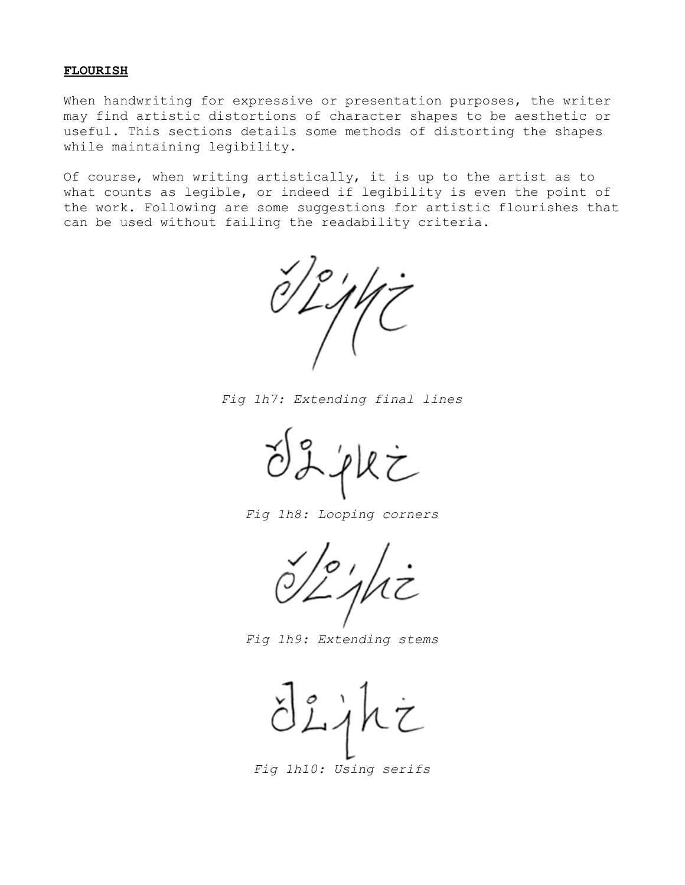### **FLOURISH**

When handwriting for expressive or presentation purposes, the writer may find artistic distortions of character shapes to be aesthetic or useful. This sections details some methods of distorting the shapes while maintaining legibility.

Of course, when writing artistically, it is up to the artist as to what counts as legible, or indeed if legibility is even the point of the work. Following are some suggestions for artistic flourishes that can be used without failing the readability criteria.

*Fig 1h7: Extending final lines*

*Fig 1h8: Looping corners*

*Fig 1h9: Extending stems*

*Fig 1h10: Using serifs*